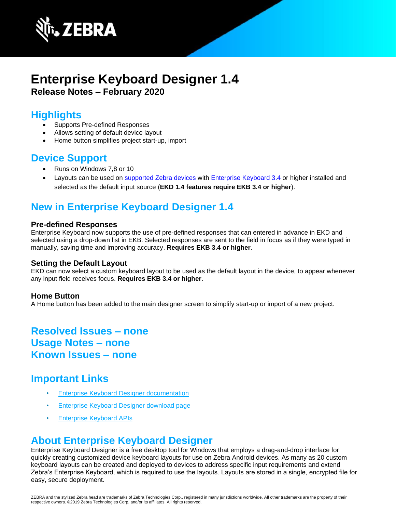

# **Enterprise Keyboard Designer 1.4 Release Notes – February 2020**

# **Highlights**

- Supports Pre-defined Responses
- Allows setting of default device layout
- Home button simplifies project start-up, import

## **Device Support**

- Runs on Windows 7,8 or 10
- Layouts can be used on [supported Zebra devices](https://www.zebra.com/us/en/support-downloads/software/productivity-apps/enterprise-keyboard.html) with [Enterprise Keyboard 3.4](http://techdocs.zebra.com/enterprise-keyboard/3-4/guide/about/#newinv32) or higher installed and selected as the default input source (**EKD 1.4 features require EKB 3.4 or higher**).

# **New in Enterprise Keyboard Designer 1.4**

#### **Pre-defined Responses**

Enterprise Keyboard now supports the use of pre-defined responses that can entered in advance in EKD and selected using a drop-down list in EKB. Selected responses are sent to the field in focus as if they were typed in manually, saving time and improving accuracy. **Requires EKB 3.4 or higher**.

#### **Setting the Default Layout**

EKD can now select a custom keyboard layout to be used as the default layout in the device, to appear whenever any input field receives focus. **Requires EKB 3.4 or higher.**

#### **Home Button**

A Home button has been added to the main designer screen to simplify start-up or import of a new project.

# **Resolved Issues – none Usage Notes – none Known Issues – none**

## **Important Links**

- [Enterprise Keyboard Designer documentation](http://techdocs.zebra.com/ekd/1-4/guide/about/)
- [Enterprise Keyboard Designer download page](https://www.zebra.com/us/en/support-downloads/software/productivity-apps/enterprise-keyboard-designer.html)
- [Enterprise Keyboard APIs](https://techdocs.zebra.com/enterprise-keyboard/3-4/guide/apis/)

## **About Enterprise Keyboard Designer**

Enterprise Keyboard Designer is a free desktop tool for Windows that employs a drag-and-drop interface for quickly creating customized device keyboard layouts for use on Zebra Android devices. As many as 20 custom keyboard layouts can be created and deployed to devices to address specific input requirements and extend Zebra's Enterprise Keyboard, which is required to use the layouts. Layouts are stored in a single, encrypted file for easy, secure deployment.